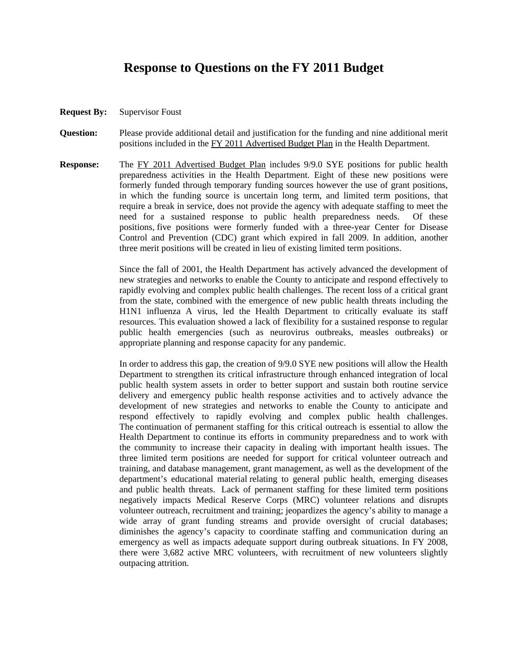## **Response to Questions on the FY 2011 Budget**

- **Request By:** Supervisor Foust
- **Question:** Please provide additional detail and justification for the funding and nine additional merit positions included in the FY 2011 Advertised Budget Plan in the Health Department.
- **Response:** The FY 2011 Advertised Budget Plan includes 9/9.0 SYE positions for public health preparedness activities in the Health Department. Eight of these new positions were formerly funded through temporary funding sources however the use of grant positions, in which the funding source is uncertain long term, and limited term positions, that require a break in service, does not provide the agency with adequate staffing to meet the need for a sustained response to public health preparedness needs. Of these positions, five positions were formerly funded with a three-year Center for Disease Control and Prevention (CDC) grant which expired in fall 2009. In addition, another three merit positions will be created in lieu of existing limited term positions.

Since the fall of 2001, the Health Department has actively advanced the development of new strategies and networks to enable the County to anticipate and respond effectively to rapidly evolving and complex public health challenges. The recent loss of a critical grant from the state, combined with the emergence of new public health threats including the H1N1 influenza A virus, led the Health Department to critically evaluate its staff resources. This evaluation showed a lack of flexibility for a sustained response to regular public health emergencies (such as neurovirus outbreaks, measles outbreaks) or appropriate planning and response capacity for any pandemic.

In order to address this gap, the creation of 9/9.0 SYE new positions will allow the Health Department to strengthen its critical infrastructure through enhanced integration of local public health system assets in order to better support and sustain both routine service delivery and emergency public health response activities and to actively advance the development of new strategies and networks to enable the County to anticipate and respond effectively to rapidly evolving and complex public health challenges. The continuation of permanent staffing for this critical outreach is essential to allow the Health Department to continue its efforts in community preparedness and to work with the community to increase their capacity in dealing with important health issues. The three limited term positions are needed for support for critical volunteer outreach and training, and database management, grant management, as well as the development of the department's educational material relating to general public health, emerging diseases and public health threats. Lack of permanent staffing for these limited term positions negatively impacts Medical Reserve Corps (MRC) volunteer relations and disrupts volunteer outreach, recruitment and training; jeopardizes the agency's ability to manage a wide array of grant funding streams and provide oversight of crucial databases; diminishes the agency's capacity to coordinate staffing and communication during an emergency as well as impacts adequate support during outbreak situations. In FY 2008, there were 3,682 active MRC volunteers, with recruitment of new volunteers slightly outpacing attrition.